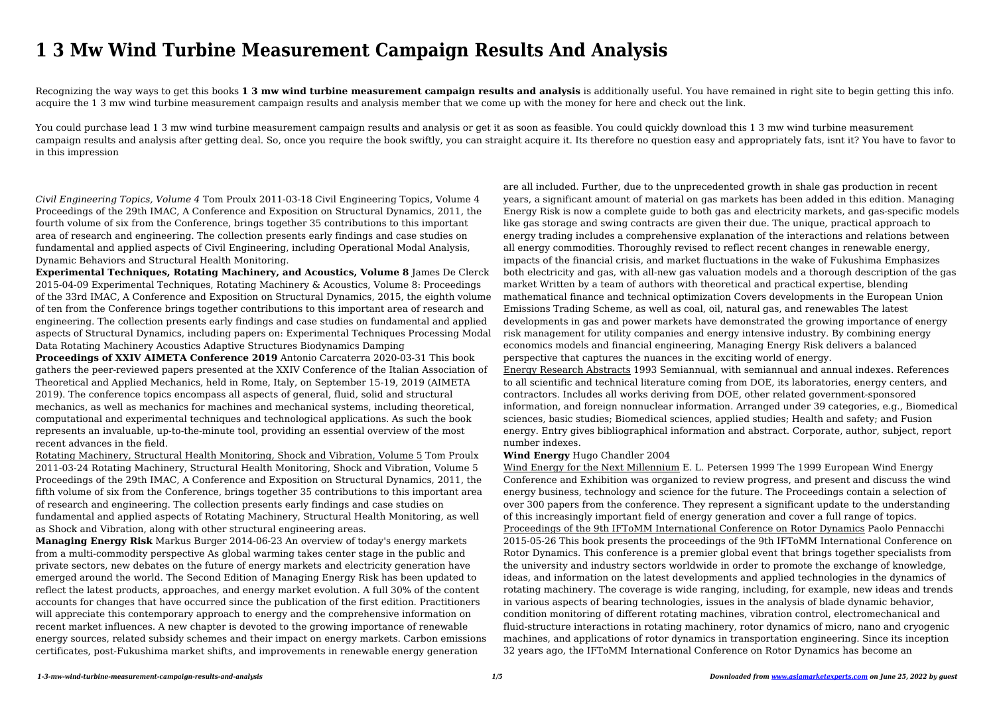# **1 3 Mw Wind Turbine Measurement Campaign Results And Analysis**

Recognizing the way ways to get this books **1 3 mw wind turbine measurement campaign results and analysis** is additionally useful. You have remained in right site to begin getting this info. acquire the 1 3 mw wind turbine measurement campaign results and analysis member that we come up with the money for here and check out the link.

You could purchase lead 1 3 mw wind turbine measurement campaign results and analysis or get it as soon as feasible. You could quickly download this 1 3 mw wind turbine measurement campaign results and analysis after getting deal. So, once you require the book swiftly, you can straight acquire it. Its therefore no question easy and appropriately fats, isnt it? You have to favor to in this impression

*Civil Engineering Topics, Volume 4* Tom Proulx 2011-03-18 Civil Engineering Topics, Volume 4 Proceedings of the 29th IMAC, A Conference and Exposition on Structural Dynamics, 2011, the fourth volume of six from the Conference, brings together 35 contributions to this important area of research and engineering. The collection presents early findings and case studies on fundamental and applied aspects of Civil Engineering, including Operational Modal Analysis, Dynamic Behaviors and Structural Health Monitoring.

**Experimental Techniques, Rotating Machinery, and Acoustics, Volume 8** James De Clerck 2015-04-09 Experimental Techniques, Rotating Machinery & Acoustics, Volume 8: Proceedings of the 33rd IMAC, A Conference and Exposition on Structural Dynamics, 2015, the eighth volume of ten from the Conference brings together contributions to this important area of research and engineering. The collection presents early findings and case studies on fundamental and applied aspects of Structural Dynamics, including papers on: Experimental Techniques Processing Modal Data Rotating Machinery Acoustics Adaptive Structures Biodynamics Damping

**Proceedings of XXIV AIMETA Conference 2019** Antonio Carcaterra 2020-03-31 This book gathers the peer-reviewed papers presented at the XXIV Conference of the Italian Association of Theoretical and Applied Mechanics, held in Rome, Italy, on September 15-19, 2019 (AIMETA 2019). The conference topics encompass all aspects of general, fluid, solid and structural mechanics, as well as mechanics for machines and mechanical systems, including theoretical, computational and experimental techniques and technological applications. As such the book represents an invaluable, up-to-the-minute tool, providing an essential overview of the most recent advances in the field.

Rotating Machinery, Structural Health Monitoring, Shock and Vibration, Volume 5 Tom Proulx 2011-03-24 Rotating Machinery, Structural Health Monitoring, Shock and Vibration, Volume 5 Proceedings of the 29th IMAC, A Conference and Exposition on Structural Dynamics, 2011, the fifth volume of six from the Conference, brings together 35 contributions to this important area of research and engineering. The collection presents early findings and case studies on fundamental and applied aspects of Rotating Machinery, Structural Health Monitoring, as well as Shock and Vibration, along with other structural engineering areas.

**Managing Energy Risk** Markus Burger 2014-06-23 An overview of today's energy markets from a multi-commodity perspective As global warming takes center stage in the public and private sectors, new debates on the future of energy markets and electricity generation have emerged around the world. The Second Edition of Managing Energy Risk has been updated to reflect the latest products, approaches, and energy market evolution. A full 30% of the content accounts for changes that have occurred since the publication of the first edition. Practitioners will appreciate this contemporary approach to energy and the comprehensive information on recent market influences. A new chapter is devoted to the growing importance of renewable energy sources, related subsidy schemes and their impact on energy markets. Carbon emissions certificates, post-Fukushima market shifts, and improvements in renewable energy generation

are all included. Further, due to the unprecedented growth in shale gas production in recent years, a significant amount of material on gas markets has been added in this edition. Managing Energy Risk is now a complete guide to both gas and electricity markets, and gas-specific models like gas storage and swing contracts are given their due. The unique, practical approach to energy trading includes a comprehensive explanation of the interactions and relations between all energy commodities. Thoroughly revised to reflect recent changes in renewable energy, impacts of the financial crisis, and market fluctuations in the wake of Fukushima Emphasizes both electricity and gas, with all-new gas valuation models and a thorough description of the gas market Written by a team of authors with theoretical and practical expertise, blending mathematical finance and technical optimization Covers developments in the European Union Emissions Trading Scheme, as well as coal, oil, natural gas, and renewables The latest developments in gas and power markets have demonstrated the growing importance of energy risk management for utility companies and energy intensive industry. By combining energy economics models and financial engineering, Managing Energy Risk delivers a balanced perspective that captures the nuances in the exciting world of energy. Energy Research Abstracts 1993 Semiannual, with semiannual and annual indexes. References to all scientific and technical literature coming from DOE, its laboratories, energy centers, and contractors. Includes all works deriving from DOE, other related government-sponsored information, and foreign nonnuclear information. Arranged under 39 categories, e.g., Biomedical sciences, basic studies; Biomedical sciences, applied studies; Health and safety; and Fusion energy. Entry gives bibliographical information and abstract. Corporate, author, subject, report number indexes.

# **Wind Energy** Hugo Chandler 2004

Wind Energy for the Next Millennium E. L. Petersen 1999 The 1999 European Wind Energy Conference and Exhibition was organized to review progress, and present and discuss the wind energy business, technology and science for the future. The Proceedings contain a selection of over 300 papers from the conference. They represent a significant update to the understanding of this increasingly important field of energy generation and cover a full range of topics. Proceedings of the 9th IFToMM International Conference on Rotor Dynamics Paolo Pennacchi 2015-05-26 This book presents the proceedings of the 9th IFToMM International Conference on Rotor Dynamics. This conference is a premier global event that brings together specialists from the university and industry sectors worldwide in order to promote the exchange of knowledge, ideas, and information on the latest developments and applied technologies in the dynamics of rotating machinery. The coverage is wide ranging, including, for example, new ideas and trends in various aspects of bearing technologies, issues in the analysis of blade dynamic behavior, condition monitoring of different rotating machines, vibration control, electromechanical and fluid-structure interactions in rotating machinery, rotor dynamics of micro, nano and cryogenic machines, and applications of rotor dynamics in transportation engineering. Since its inception 32 years ago, the IFToMM International Conference on Rotor Dynamics has become an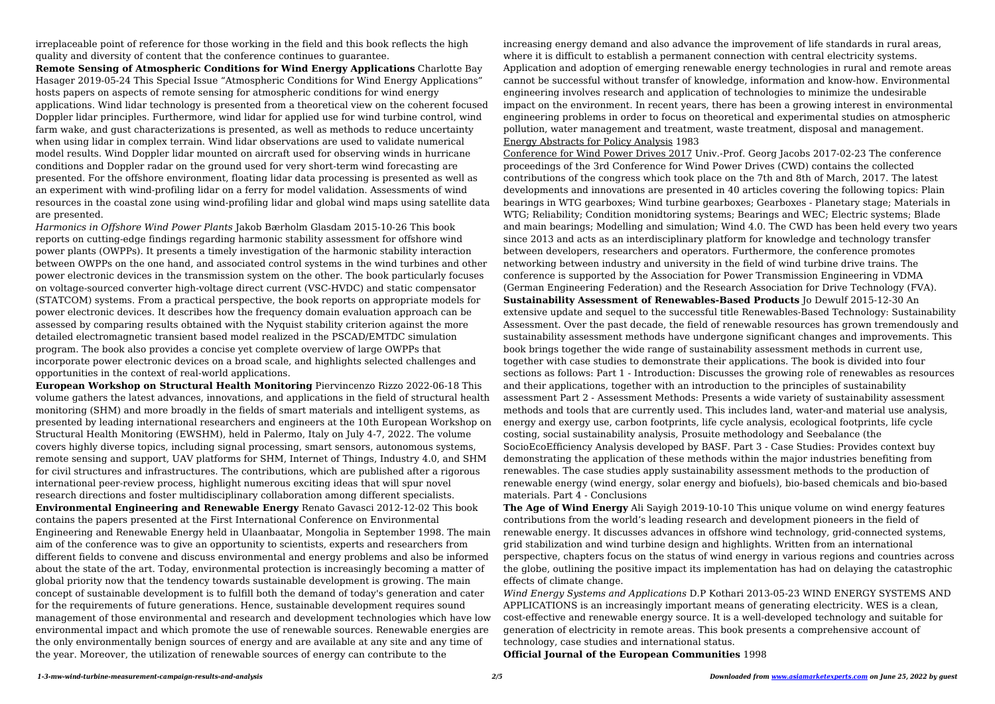irreplaceable point of reference for those working in the field and this book reflects the high quality and diversity of content that the conference continues to guarantee.

**Remote Sensing of Atmospheric Conditions for Wind Energy Applications** Charlotte Bay Hasager 2019-05-24 This Special Issue "Atmospheric Conditions for Wind Energy Applications" hosts papers on aspects of remote sensing for atmospheric conditions for wind energy applications. Wind lidar technology is presented from a theoretical view on the coherent focused Doppler lidar principles. Furthermore, wind lidar for applied use for wind turbine control, wind farm wake, and gust characterizations is presented, as well as methods to reduce uncertainty when using lidar in complex terrain. Wind lidar observations are used to validate numerical model results. Wind Doppler lidar mounted on aircraft used for observing winds in hurricane conditions and Doppler radar on the ground used for very short-term wind forecasting are presented. For the offshore environment, floating lidar data processing is presented as well as an experiment with wind-profiling lidar on a ferry for model validation. Assessments of wind resources in the coastal zone using wind-profiling lidar and global wind maps using satellite data are presented.

*Harmonics in Offshore Wind Power Plants* Jakob Bærholm Glasdam 2015-10-26 This book reports on cutting-edge findings regarding harmonic stability assessment for offshore wind power plants (OWPPs). It presents a timely investigation of the harmonic stability interaction between OWPPs on the one hand, and associated control systems in the wind turbines and other power electronic devices in the transmission system on the other. The book particularly focuses on voltage-sourced converter high-voltage direct current (VSC-HVDC) and static compensator (STATCOM) systems. From a practical perspective, the book reports on appropriate models for power electronic devices. It describes how the frequency domain evaluation approach can be assessed by comparing results obtained with the Nyquist stability criterion against the more detailed electromagnetic transient based model realized in the PSCAD/EMTDC simulation program. The book also provides a concise yet complete overview of large OWPPs that incorporate power electronic devices on a broad scale, and highlights selected challenges and opportunities in the context of real-world applications.

**European Workshop on Structural Health Monitoring** Piervincenzo Rizzo 2022-06-18 This volume gathers the latest advances, innovations, and applications in the field of structural health monitoring (SHM) and more broadly in the fields of smart materials and intelligent systems, as presented by leading international researchers and engineers at the 10th European Workshop on Structural Health Monitoring (EWSHM), held in Palermo, Italy on July 4-7, 2022. The volume covers highly diverse topics, including signal processing, smart sensors, autonomous systems, remote sensing and support, UAV platforms for SHM, Internet of Things, Industry 4.0, and SHM for civil structures and infrastructures. The contributions, which are published after a rigorous international peer-review process, highlight numerous exciting ideas that will spur novel research directions and foster multidisciplinary collaboration among different specialists. **Environmental Engineering and Renewable Energy** Renato Gavasci 2012-12-02 This book contains the papers presented at the First International Conference on Environmental Engineering and Renewable Energy held in Ulaanbaatar, Mongolia in September 1998. The main aim of the conference was to give an opportunity to scientists, experts and researchers from different fields to convene and discuss environmental and energy problems and also be informed about the state of the art. Today, environmental protection is increasingly becoming a matter of global priority now that the tendency towards sustainable development is growing. The main concept of sustainable development is to fulfill both the demand of today's generation and cater for the requirements of future generations. Hence, sustainable development requires sound management of those environmental and research and development technologies which have low environmental impact and which promote the use of renewable sources. Renewable energies are the only environmentally benign sources of energy and are available at any site and any time of the year. Moreover, the utilization of renewable sources of energy can contribute to the

increasing energy demand and also advance the improvement of life standards in rural areas, where it is difficult to establish a permanent connection with central electricity systems. Application and adoption of emerging renewable energy technologies in rural and remote areas cannot be successful without transfer of knowledge, information and know-how. Environmental engineering involves research and application of technologies to minimize the undesirable impact on the environment. In recent years, there has been a growing interest in environmental engineering problems in order to focus on theoretical and experimental studies on atmospheric pollution, water management and treatment, waste treatment, disposal and management. Energy Abstracts for Policy Analysis 1983

Conference for Wind Power Drives 2017 Univ.-Prof. Georg Jacobs 2017-02-23 The conference proceedings of the 3rd Conference for Wind Power Drives (CWD) contains the collected contributions of the congress which took place on the 7th and 8th of March, 2017. The latest developments and innovations are presented in 40 articles covering the following topics: Plain bearings in WTG gearboxes; Wind turbine gearboxes; Gearboxes - Planetary stage; Materials in WTG; Reliability; Condition monidtoring systems; Bearings and WEC; Electric systems; Blade and main bearings; Modelling and simulation; Wind 4.0. The CWD has been held every two years since 2013 and acts as an interdisciplinary platform for knowledge and technology transfer between developers, researchers and operators. Furthermore, the conference promotes networking between industry and university in the field of wind turbine drive trains. The conference is supported by the Association for Power Transmission Engineering in VDMA (German Engineering Federation) and the Research Association for Drive Technology (FVA). **Sustainability Assessment of Renewables-Based Products** Jo Dewulf 2015-12-30 An extensive update and sequel to the successful title Renewables-Based Technology: Sustainability Assessment. Over the past decade, the field of renewable resources has grown tremendously and sustainability assessment methods have undergone significant changes and improvements. This book brings together the wide range of sustainability assessment methods in current use, together with case studies to demonstrate their applications. The book is divided into four sections as follows: Part 1 - Introduction: Discusses the growing role of renewables as resources and their applications, together with an introduction to the principles of sustainability assessment Part 2 - Assessment Methods: Presents a wide variety of sustainability assessment methods and tools that are currently used. This includes land, water-and material use analysis, energy and exergy use, carbon footprints, life cycle analysis, ecological footprints, life cycle costing, social sustainability analysis, Prosuite methodology and Seebalance (the SocioEcoEfficiency Analysis developed by BASF. Part 3 - Case Studies: Provides context buy demonstrating the application of these methods within the major industries benefiting from renewables. The case studies apply sustainability assessment methods to the production of renewable energy (wind energy, solar energy and biofuels), bio-based chemicals and bio-based materials. Part 4 - Conclusions

**The Age of Wind Energy** Ali Sayigh 2019-10-10 This unique volume on wind energy features contributions from the world's leading research and development pioneers in the field of renewable energy. It discusses advances in offshore wind technology, grid-connected systems, grid stabilization and wind turbine design and highlights. Written from an international perspective, chapters focus on the status of wind energy in various regions and countries across the globe, outlining the positive impact its implementation has had on delaying the catastrophic effects of climate change.

*Wind Energy Systems and Applications* D.P Kothari 2013-05-23 WIND ENERGY SYSTEMS AND APPLICATIONS is an increasingly important means of generating electricity. WES is a clean, cost-effective and renewable energy source. It is a well-developed technology and suitable for generation of electricity in remote areas. This book presents a comprehensive account of technology, case studies and international status. **Official Journal of the European Communities** 1998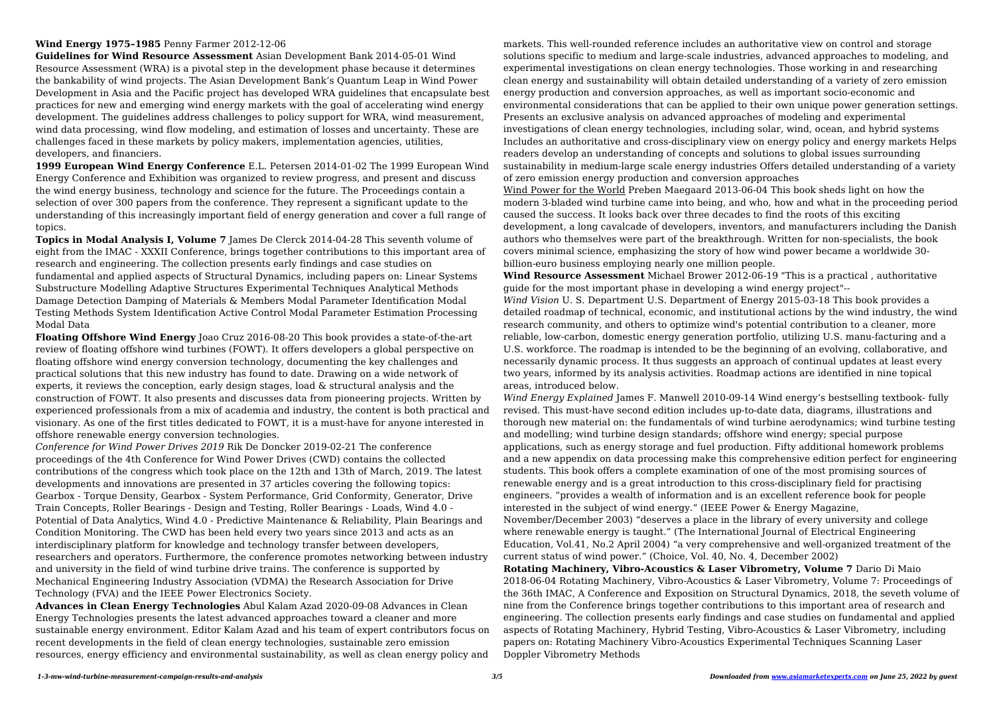# **Wind Energy 1975–1985** Penny Farmer 2012-12-06

**Guidelines for Wind Resource Assessment** Asian Development Bank 2014-05-01 Wind Resource Assessment (WRA) is a pivotal step in the development phase because it determines the bankability of wind projects. The Asian Development Bank's Quantum Leap in Wind Power Development in Asia and the Pacific project has developed WRA guidelines that encapsulate best practices for new and emerging wind energy markets with the goal of accelerating wind energy development. The guidelines address challenges to policy support for WRA, wind measurement, wind data processing, wind flow modeling, and estimation of losses and uncertainty. These are challenges faced in these markets by policy makers, implementation agencies, utilities, developers, and financiers.

**1999 European Wind Energy Conference** E.L. Petersen 2014-01-02 The 1999 European Wind Energy Conference and Exhibition was organized to review progress, and present and discuss the wind energy business, technology and science for the future. The Proceedings contain a selection of over 300 papers from the conference. They represent a significant update to the understanding of this increasingly important field of energy generation and cover a full range of topics.

**Topics in Modal Analysis I, Volume 7** James De Clerck 2014-04-28 This seventh volume of eight from the IMAC - XXXII Conference, brings together contributions to this important area of research and engineering. The collection presents early findings and case studies on fundamental and applied aspects of Structural Dynamics, including papers on: Linear Systems Substructure Modelling Adaptive Structures Experimental Techniques Analytical Methods Damage Detection Damping of Materials & Members Modal Parameter Identification Modal Testing Methods System Identification Active Control Modal Parameter Estimation Processing Modal Data

**Floating Offshore Wind Energy** Joao Cruz 2016-08-20 This book provides a state-of-the-art review of floating offshore wind turbines (FOWT). It offers developers a global perspective on floating offshore wind energy conversion technology, documenting the key challenges and practical solutions that this new industry has found to date. Drawing on a wide network of experts, it reviews the conception, early design stages, load & structural analysis and the construction of FOWT. It also presents and discusses data from pioneering projects. Written by experienced professionals from a mix of academia and industry, the content is both practical and visionary. As one of the first titles dedicated to FOWT, it is a must-have for anyone interested in offshore renewable energy conversion technologies.

*Conference for Wind Power Drives 2019* Rik De Doncker 2019-02-21 The conference proceedings of the 4th Conference for Wind Power Drives (CWD) contains the collected contributions of the congress which took place on the 12th and 13th of March, 2019. The latest developments and innovations are presented in 37 articles covering the following topics: Gearbox - Torque Density, Gearbox - System Performance, Grid Conformity, Generator, Drive Train Concepts, Roller Bearings - Design and Testing, Roller Bearings - Loads, Wind 4.0 - Potential of Data Analytics, Wind 4.0 - Predictive Maintenance & Reliability, Plain Bearings and Condition Monitoring. The CWD has been held every two years since 2013 and acts as an interdisciplinary platform for knowledge and technology transfer between developers, researchers and operators. Furthermore, the conference promotes networking between industry and university in the field of wind turbine drive trains. The conference is supported by Mechanical Engineering Industry Association (VDMA) the Research Association for Drive Technology (FVA) and the IEEE Power Electronics Society.

**Advances in Clean Energy Technologies** Abul Kalam Azad 2020-09-08 Advances in Clean Energy Technologies presents the latest advanced approaches toward a cleaner and more sustainable energy environment. Editor Kalam Azad and his team of expert contributors focus on recent developments in the field of clean energy technologies, sustainable zero emission resources, energy efficiency and environmental sustainability, as well as clean energy policy and

markets. This well-rounded reference includes an authoritative view on control and storage solutions specific to medium and large-scale industries, advanced approaches to modeling, and experimental investigations on clean energy technologies. Those working in and researching clean energy and sustainability will obtain detailed understanding of a variety of zero emission energy production and conversion approaches, as well as important socio-economic and environmental considerations that can be applied to their own unique power generation settings. Presents an exclusive analysis on advanced approaches of modeling and experimental investigations of clean energy technologies, including solar, wind, ocean, and hybrid systems Includes an authoritative and cross-disciplinary view on energy policy and energy markets Helps readers develop an understanding of concepts and solutions to global issues surrounding sustainability in medium-large scale energy industries Offers detailed understanding of a variety of zero emission energy production and conversion approaches Wind Power for the World Preben Maegaard 2013-06-04 This book sheds light on how the modern 3-bladed wind turbine came into being, and who, how and what in the proceeding period caused the success. It looks back over three decades to find the roots of this exciting development, a long cavalcade of developers, inventors, and manufacturers including the Danish authors who themselves were part of the breakthrough. Written for non-specialists, the book covers minimal science, emphasizing the story of how wind power became a worldwide 30 billion-euro business employing nearly one million people.

**Wind Resource Assessment** Michael Brower 2012-06-19 "This is a practical , authoritative guide for the most important phase in developing a wind energy project"-- *Wind Vision* U. S. Department U.S. Department of Energy 2015-03-18 This book provides a detailed roadmap of technical, economic, and institutional actions by the wind industry, the wind research community, and others to optimize wind's potential contribution to a cleaner, more reliable, low-carbon, domestic energy generation portfolio, utilizing U.S. manu-facturing and a U.S. workforce. The roadmap is intended to be the beginning of an evolving, collaborative, and necessarily dynamic process. It thus suggests an approach of continual updates at least every two years, informed by its analysis activities. Roadmap actions are identified in nine topical areas, introduced below.

*Wind Energy Explained* James F. Manwell 2010-09-14 Wind energy's bestselling textbook- fully revised. This must-have second edition includes up-to-date data, diagrams, illustrations and thorough new material on: the fundamentals of wind turbine aerodynamics; wind turbine testing and modelling; wind turbine design standards; offshore wind energy; special purpose applications, such as energy storage and fuel production. Fifty additional homework problems and a new appendix on data processing make this comprehensive edition perfect for engineering students. This book offers a complete examination of one of the most promising sources of renewable energy and is a great introduction to this cross-disciplinary field for practising engineers. "provides a wealth of information and is an excellent reference book for people interested in the subject of wind energy." (IEEE Power & Energy Magazine, November/December 2003) "deserves a place in the library of every university and college where renewable energy is taught." (The International Journal of Electrical Engineering Education, Vol.41, No.2 April 2004) "a very comprehensive and well-organized treatment of the current status of wind power." (Choice, Vol. 40, No. 4, December 2002) **Rotating Machinery, Vibro-Acoustics & Laser Vibrometry, Volume 7** Dario Di Maio 2018-06-04 Rotating Machinery, Vibro-Acoustics & Laser Vibrometry, Volume 7: Proceedings of the 36th IMAC, A Conference and Exposition on Structural Dynamics, 2018, the seveth volume of nine from the Conference brings together contributions to this important area of research and engineering. The collection presents early findings and case studies on fundamental and applied aspects of Rotating Machinery, Hybrid Testing, Vibro-Acoustics & Laser Vibrometry, including papers on: Rotating Machinery Vibro-Acoustics Experimental Techniques Scanning Laser Doppler Vibrometry Methods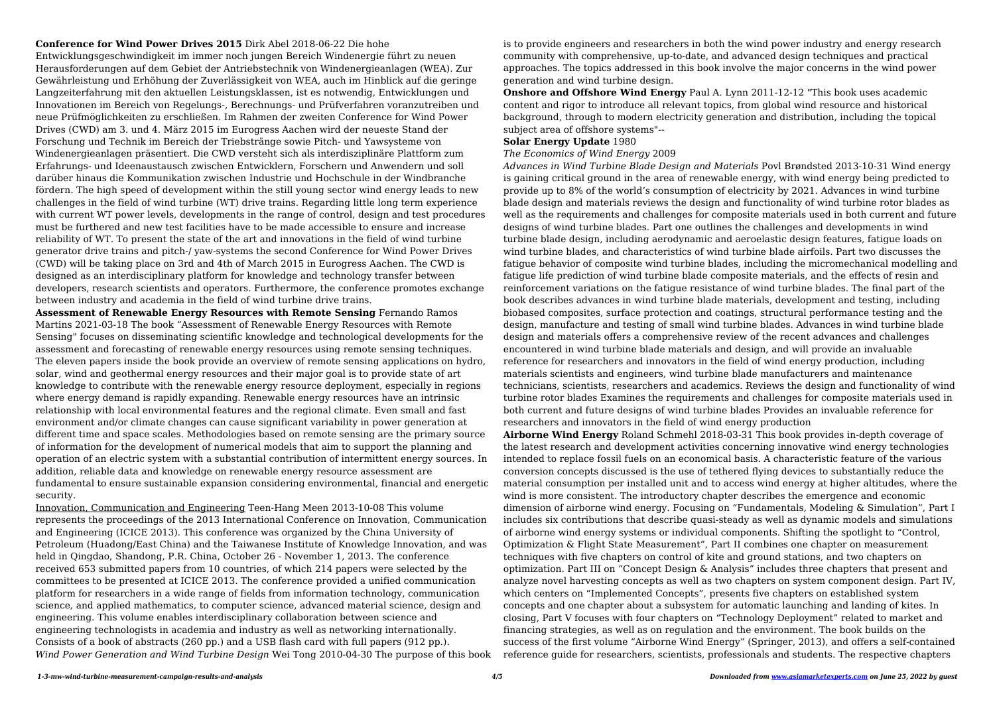#### **Conference for Wind Power Drives 2015** Dirk Abel 2018-06-22 Die hohe

Entwicklungsgeschwindigkeit im immer noch jungen Bereich Windenergie führt zu neuen Herausforderungen auf dem Gebiet der Antriebstechnik von Windenergieanlagen (WEA). Zur Gewährleistung und Erhöhung der Zuverlässigkeit von WEA, auch im Hinblick auf die geringe Langzeiterfahrung mit den aktuellen Leistungsklassen, ist es notwendig, Entwicklungen und Innovationen im Bereich von Regelungs-, Berechnungs- und Prüfverfahren voranzutreiben und neue Prüfmöglichkeiten zu erschließen. Im Rahmen der zweiten Conference for Wind Power Drives (CWD) am 3. und 4. März 2015 im Eurogress Aachen wird der neueste Stand der Forschung und Technik im Bereich der Triebstränge sowie Pitch- und Yawsysteme von Windenergieanlagen präsentiert. Die CWD versteht sich als interdisziplinäre Plattform zum Erfahrungs- und Ideenaustausch zwischen Entwicklern, Forschern und Anwendern und soll darüber hinaus die Kommunikation zwischen Industrie und Hochschule in der Windbranche fördern. The high speed of development within the still young sector wind energy leads to new challenges in the field of wind turbine (WT) drive trains. Regarding little long term experience with current WT power levels, developments in the range of control, design and test procedures must be furthered and new test facilities have to be made accessible to ensure and increase reliability of WT. To present the state of the art and innovations in the field of wind turbine generator drive trains and pitch-/ yaw-systems the second Conference for Wind Power Drives (CWD) will be taking place on 3rd and 4th of March 2015 in Eurogress Aachen. The CWD is designed as an interdisciplinary platform for knowledge and technology transfer between developers, research scientists and operators. Furthermore, the conference promotes exchange between industry and academia in the field of wind turbine drive trains.

**Onshore and Offshore Wind Energy** Paul A. Lynn 2011-12-12 "This book uses academic content and rigor to introduce all relevant topics, from global wind resource and historical background, through to modern electricity generation and distribution, including the topical subject area of offshore systems"--

**Assessment of Renewable Energy Resources with Remote Sensing** Fernando Ramos Martins 2021-03-18 The book "Assessment of Renewable Energy Resources with Remote Sensing" focuses on disseminating scientific knowledge and technological developments for the assessment and forecasting of renewable energy resources using remote sensing techniques. The eleven papers inside the book provide an overview of remote sensing applications on hydro, solar, wind and geothermal energy resources and their major goal is to provide state of art knowledge to contribute with the renewable energy resource deployment, especially in regions where energy demand is rapidly expanding. Renewable energy resources have an intrinsic relationship with local environmental features and the regional climate. Even small and fast environment and/or climate changes can cause significant variability in power generation at different time and space scales. Methodologies based on remote sensing are the primary source of information for the development of numerical models that aim to support the planning and operation of an electric system with a substantial contribution of intermittent energy sources. In addition, reliable data and knowledge on renewable energy resource assessment are fundamental to ensure sustainable expansion considering environmental, financial and energetic security.

Innovation, Communication and Engineering Teen-Hang Meen 2013-10-08 This volume represents the proceedings of the 2013 International Conference on Innovation, Communication and Engineering (ICICE 2013). This conference was organized by the China University of Petroleum (Huadong/East China) and the Taiwanese Institute of Knowledge Innovation, and was held in Qingdao, Shandong, P.R. China, October 26 - November 1, 2013. The conference received 653 submitted papers from 10 countries, of which 214 papers were selected by the committees to be presented at ICICE 2013. The conference provided a unified communication platform for researchers in a wide range of fields from information technology, communication science, and applied mathematics, to computer science, advanced material science, design and engineering. This volume enables interdisciplinary collaboration between science and engineering technologists in academia and industry as well as networking internationally. Consists of a book of abstracts (260 pp.) and a USB flash card with full papers (912 pp.). *Wind Power Generation and Wind Turbine Design* Wei Tong 2010-04-30 The purpose of this book

is to provide engineers and researchers in both the wind power industry and energy research community with comprehensive, up-to-date, and advanced design techniques and practical approaches. The topics addressed in this book involve the major concerns in the wind power generation and wind turbine design.

## **Solar Energy Update** 1980

# *The Economics of Wind Energy* 2009

*Advances in Wind Turbine Blade Design and Materials* Povl Brøndsted 2013-10-31 Wind energy is gaining critical ground in the area of renewable energy, with wind energy being predicted to provide up to 8% of the world's consumption of electricity by 2021. Advances in wind turbine blade design and materials reviews the design and functionality of wind turbine rotor blades as well as the requirements and challenges for composite materials used in both current and future designs of wind turbine blades. Part one outlines the challenges and developments in wind turbine blade design, including aerodynamic and aeroelastic design features, fatigue loads on wind turbine blades, and characteristics of wind turbine blade airfoils. Part two discusses the fatigue behavior of composite wind turbine blades, including the micromechanical modelling and fatigue life prediction of wind turbine blade composite materials, and the effects of resin and reinforcement variations on the fatigue resistance of wind turbine blades. The final part of the book describes advances in wind turbine blade materials, development and testing, including biobased composites, surface protection and coatings, structural performance testing and the design, manufacture and testing of small wind turbine blades. Advances in wind turbine blade design and materials offers a comprehensive review of the recent advances and challenges encountered in wind turbine blade materials and design, and will provide an invaluable reference for researchers and innovators in the field of wind energy production, including materials scientists and engineers, wind turbine blade manufacturers and maintenance technicians, scientists, researchers and academics. Reviews the design and functionality of wind turbine rotor blades Examines the requirements and challenges for composite materials used in both current and future designs of wind turbine blades Provides an invaluable reference for researchers and innovators in the field of wind energy production **Airborne Wind Energy** Roland Schmehl 2018-03-31 This book provides in-depth coverage of the latest research and development activities concerning innovative wind energy technologies intended to replace fossil fuels on an economical basis. A characteristic feature of the various conversion concepts discussed is the use of tethered flying devices to substantially reduce the material consumption per installed unit and to access wind energy at higher altitudes, where the wind is more consistent. The introductory chapter describes the emergence and economic dimension of airborne wind energy. Focusing on "Fundamentals, Modeling & Simulation", Part I includes six contributions that describe quasi-steady as well as dynamic models and simulations of airborne wind energy systems or individual components. Shifting the spotlight to "Control, Optimization & Flight State Measurement", Part II combines one chapter on measurement techniques with five chapters on control of kite and ground stations, and two chapters on optimization. Part III on "Concept Design & Analysis" includes three chapters that present and analyze novel harvesting concepts as well as two chapters on system component design. Part IV, which centers on "Implemented Concepts", presents five chapters on established system concepts and one chapter about a subsystem for automatic launching and landing of kites. In closing, Part V focuses with four chapters on "Technology Deployment" related to market and financing strategies, as well as on regulation and the environment. The book builds on the success of the first volume "Airborne Wind Energy" (Springer, 2013), and offers a self-contained reference guide for researchers, scientists, professionals and students. The respective chapters